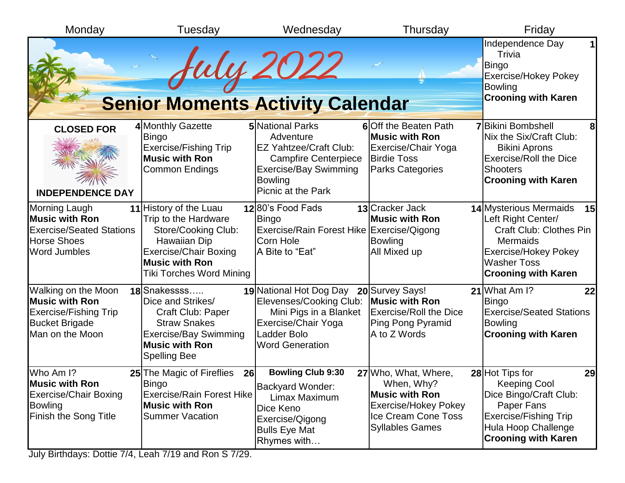| Monday                                                                                                                 | Tuesday                                                                                                                                                                           | Wednesday                                                                                                                                                             | Thursday                                                                                                                             | Friday                                                                                                                                                                                            |
|------------------------------------------------------------------------------------------------------------------------|-----------------------------------------------------------------------------------------------------------------------------------------------------------------------------------|-----------------------------------------------------------------------------------------------------------------------------------------------------------------------|--------------------------------------------------------------------------------------------------------------------------------------|---------------------------------------------------------------------------------------------------------------------------------------------------------------------------------------------------|
|                                                                                                                        | <b>Senior Moments Activity Calendar</b>                                                                                                                                           | fuly 2022                                                                                                                                                             |                                                                                                                                      | Independence Day<br>Trivia<br><b>Bingo</b><br><b>Exercise/Hokey Pokey</b><br><b>Bowling</b><br><b>Crooning with Karen</b>                                                                         |
| <b>CLOSED FOR</b><br><b>INDEPENDENCE DAY</b>                                                                           | 4 Monthly Gazette<br><b>Bingo</b><br><b>Exercise/Fishing Trip</b><br><b>Music with Ron</b><br>Common Endings                                                                      | <b>5</b> National Parks<br>Adventure<br><b>EZ Yahtzee/Craft Club:</b><br><b>Campfire Centerpiece</b><br><b>Exercise/Bay Swimming</b><br>Bowling<br>Picnic at the Park | 6 Off the Beaten Path<br><b>Music with Ron</b><br>Exercise/Chair Yoga<br><b>Birdie Toss</b><br><b>Parks Categories</b>               | <b>7</b> Bikini Bombshell<br>Nix the Six/Craft Club:<br><b>Bikini Aprons</b><br><b>Exercise/Roll the Dice</b><br><b>Shooters</b><br><b>Crooning with Karen</b>                                    |
| Morning Laugh<br><b>Music with Ron</b><br><b>Exercise/Seated Stations</b><br><b>Horse Shoes</b><br><b>Word Jumbles</b> | 11 History of the Luau<br>Trip to the Hardware<br>Store/Cooking Club:<br>Hawaiian Dip<br><b>Exercise/Chair Boxing</b><br><b>Music with Ron</b><br><b>Tiki Torches Word Mining</b> | 1280's Food Fads<br><b>Bingo</b><br>Exercise/Rain Forest Hike Exercise/Qigong<br>Corn Hole<br>A Bite to "Eat"                                                         | 13 Cracker Jack<br><b>Music with Ron</b><br><b>Bowling</b><br><b>All Mixed up</b>                                                    | 14 Mysterious Mermaids<br><u>15</u><br>Left Right Center/<br><b>Craft Club: Clothes Pin</b><br><b>Mermaids</b><br><b>Exercise/Hokey Pokey</b><br><b>Washer Toss</b><br><b>Crooning with Karen</b> |
| Walking on the Moon<br><b>Music with Ron</b><br>Exercise/Fishing Trip<br><b>Bucket Brigade</b><br>Man on the Moon      | 18 Snakessss<br>Dice and Strikes/<br>Craft Club: Paper<br><b>Straw Snakes</b><br><b>Exercise/Bay Swimming</b><br><b>Music with Ron</b><br><b>Spelling Bee</b>                     | 19 National Hot Dog Day<br>Elevenses/Cooking Club:<br>Mini Pigs in a Blanket<br>Exercise/Chair Yoga<br>Ladder Bolo<br><b>Word Generation</b>                          | 20 Survey Says!<br><b>Music with Ron</b><br><b>Exercise/Roll the Dice</b><br>Ping Pong Pyramid<br>A to Z Words                       | 21 What Am I?<br>22<br>Bingo<br><b>Exercise/Seated Stations</b><br><b>Bowling</b><br><b>Crooning with Karen</b>                                                                                   |
| Who Am I?<br><b>Music with Ron</b><br><b>Exercise/Chair Boxing</b><br><b>Bowling</b><br>Finish the Song Title          | 25 The Magic of Fireflies<br>26<br>Bingo<br><b>Exercise/Rain Forest Hike</b><br><b>Music with Ron</b><br><b>Summer Vacation</b>                                                   | <b>Bowling Club 9:30</b><br><b>Backyard Wonder:</b><br>Limax Maximum<br>Dice Keno<br>Exercise/Qigong<br><b>Bulls Eye Mat</b><br>Rhymes with                           | 27 Who, What, Where,<br>When, Why?<br>Music with Ron<br><b>Exercise/Hokey Pokey</b><br>Ice Cream Cone Toss<br><b>Syllables Games</b> | 28 Hot Tips for<br>29<br><b>Keeping Cool</b><br>Dice Bingo/Craft Club:<br>Paper Fans<br><b>Exercise/Fishing Trip</b><br>Hula Hoop Challenge<br><b>Crooning with Karen</b>                         |

July Birthdays: Dottie 7/4, Leah 7/19 and Ron S 7/29.